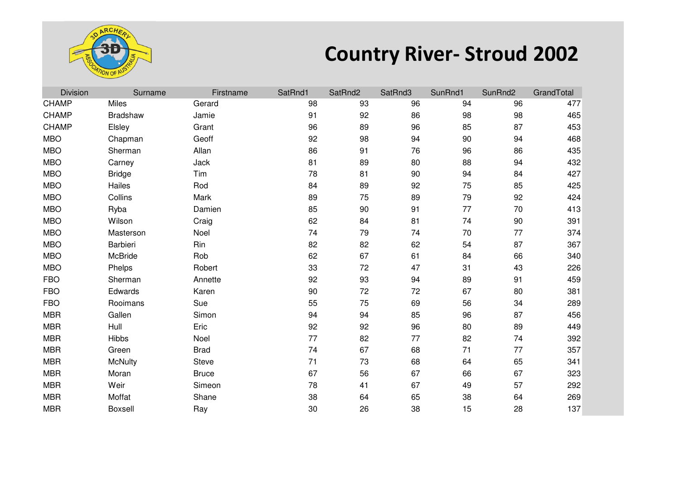

## **Country River- Stroud 2002**

| <b>Division</b> | Surname        | Firstname    | SatRnd1 | SatRnd2 | SatRnd3 | SunRnd1 | SunRnd2 | GrandTotal |
|-----------------|----------------|--------------|---------|---------|---------|---------|---------|------------|
| <b>CHAMP</b>    | <b>Miles</b>   | Gerard       | 98      | 93      | 96      | 94      | 96      | 477        |
| <b>CHAMP</b>    | Bradshaw       | Jamie        | 91      | 92      | 86      | 98      | 98      | 465        |
| <b>CHAMP</b>    | Elsley         | Grant        | 96      | 89      | 96      | 85      | 87      | 453        |
| <b>MBO</b>      | Chapman        | Geoff        | 92      | 98      | 94      | 90      | 94      | 468        |
| <b>MBO</b>      | Sherman        | Allan        | 86      | 91      | 76      | 96      | 86      | 435        |
| <b>MBO</b>      | Carney         | Jack         | 81      | 89      | 80      | 88      | 94      | 432        |
| <b>MBO</b>      | <b>Bridge</b>  | Tim          | 78      | 81      | 90      | 94      | 84      | 427        |
| <b>MBO</b>      | Hailes         | Rod          | 84      | 89      | 92      | 75      | 85      | 425        |
| <b>MBO</b>      | Collins        | Mark         | 89      | 75      | 89      | 79      | 92      | 424        |
| <b>MBO</b>      | Ryba           | Damien       | 85      | 90      | 91      | 77      | 70      | 413        |
| <b>MBO</b>      | Wilson         | Craig        | 62      | 84      | 81      | 74      | 90      | 391        |
| <b>MBO</b>      | Masterson      | Noel         | 74      | 79      | 74      | 70      | 77      | 374        |
| <b>MBO</b>      | Barbieri       | Rin          | 82      | 82      | 62      | 54      | 87      | 367        |
| <b>MBO</b>      | McBride        | Rob          | 62      | 67      | 61      | 84      | 66      | 340        |
| <b>MBO</b>      | Phelps         | Robert       | 33      | 72      | 47      | 31      | 43      | 226        |
| <b>FBO</b>      | Sherman        | Annette      | 92      | 93      | 94      | 89      | 91      | 459        |
| <b>FBO</b>      | Edwards        | Karen        | 90      | 72      | 72      | 67      | 80      | 381        |
| <b>FBO</b>      | Rooimans       | Sue          | 55      | 75      | 69      | 56      | 34      | 289        |
| <b>MBR</b>      | Gallen         | Simon        | 94      | 94      | 85      | 96      | 87      | 456        |
| <b>MBR</b>      | Hull           | Eric         | 92      | 92      | 96      | 80      | 89      | 449        |
| <b>MBR</b>      | Hibbs          | Noel         | 77      | 82      | 77      | 82      | 74      | 392        |
| <b>MBR</b>      | Green          | <b>Brad</b>  | 74      | 67      | 68      | 71      | 77      | 357        |
| <b>MBR</b>      | <b>McNulty</b> | <b>Steve</b> | 71      | 73      | 68      | 64      | 65      | 341        |
| <b>MBR</b>      | Moran          | <b>Bruce</b> | 67      | 56      | 67      | 66      | 67      | 323        |
| <b>MBR</b>      | Weir           | Simeon       | 78      | 41      | 67      | 49      | 57      | 292        |
| <b>MBR</b>      | Moffat         | Shane        | 38      | 64      | 65      | 38      | 64      | 269        |
| <b>MBR</b>      | <b>Boxsell</b> | Ray          | 30      | 26      | 38      | 15      | 28      | 137        |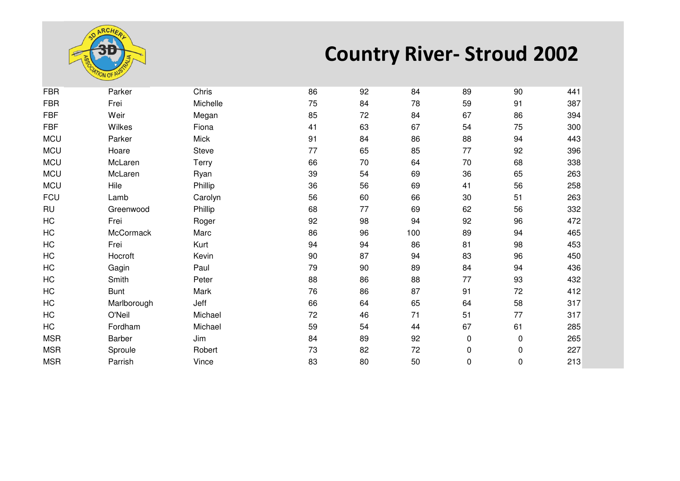

## **Country River- Stroud 2002**

| <b>FBR</b> | Parker      | Chris       | 86 | 92 | 84  | 89        | 90        | 441 |
|------------|-------------|-------------|----|----|-----|-----------|-----------|-----|
| <b>FBR</b> | Frei        | Michelle    | 75 | 84 | 78  | 59        | 91        | 387 |
| <b>FBF</b> | Weir        | Megan       | 85 | 72 | 84  | 67        | 86        | 394 |
| <b>FBF</b> | Wilkes      | Fiona       | 41 | 63 | 67  | 54        | 75        | 300 |
| <b>MCU</b> | Parker      | <b>Mick</b> | 91 | 84 | 86  | 88        | 94        | 443 |
| <b>MCU</b> | Hoare       | Steve       | 77 | 65 | 85  | 77        | 92        | 396 |
| <b>MCU</b> | McLaren     | Terry       | 66 | 70 | 64  | 70        | 68        | 338 |
| <b>MCU</b> | McLaren     | Ryan        | 39 | 54 | 69  | 36        | 65        | 263 |
| <b>MCU</b> | Hile        | Phillip     | 36 | 56 | 69  | 41        | 56        | 258 |
| <b>FCU</b> | Lamb        | Carolyn     | 56 | 60 | 66  | 30        | 51        | 263 |
| <b>RU</b>  | Greenwood   | Phillip     | 68 | 77 | 69  | 62        | 56        | 332 |
| HC         | Frei        | Roger       | 92 | 98 | 94  | 92        | 96        | 472 |
| HC         | McCormack   | Marc        | 86 | 96 | 100 | 89        | 94        | 465 |
| HC         | Frei        | Kurt        | 94 | 94 | 86  | 81        | 98        | 453 |
| HC         | Hocroft     | Kevin       | 90 | 87 | 94  | 83        | 96        | 450 |
| HC         | Gagin       | Paul        | 79 | 90 | 89  | 84        | 94        | 436 |
| HC         | Smith       | Peter       | 88 | 86 | 88  | 77        | 93        | 432 |
| HC         | <b>Bunt</b> | Mark        | 76 | 86 | 87  | 91        | 72        | 412 |
| HC         | Marlborough | Jeff        | 66 | 64 | 65  | 64        | 58        | 317 |
| HC         | O'Neil      | Michael     | 72 | 46 | 71  | 51        | 77        | 317 |
| HC         | Fordham     | Michael     | 59 | 54 | 44  | 67        | 61        | 285 |
| <b>MSR</b> | Barber      | Jim         | 84 | 89 | 92  | 0         | $\pmb{0}$ | 265 |
| <b>MSR</b> | Sproule     | Robert      | 73 | 82 | 72  | 0         | 0         | 227 |
| <b>MSR</b> | Parrish     | Vince       | 83 | 80 | 50  | $\pmb{0}$ | 0         | 213 |